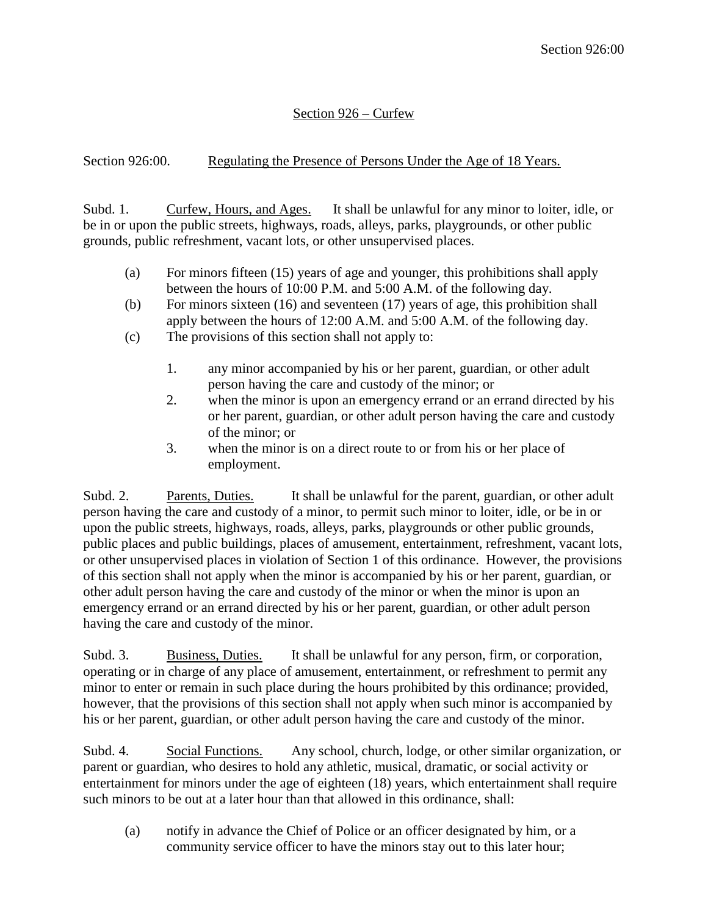## Section 926 – Curfew

Section 926:00. Regulating the Presence of Persons Under the Age of 18 Years.

Subd. 1. Curfew, Hours, and Ages. It shall be unlawful for any minor to loiter, idle, or be in or upon the public streets, highways, roads, alleys, parks, playgrounds, or other public grounds, public refreshment, vacant lots, or other unsupervised places.

- (a) For minors fifteen (15) years of age and younger, this prohibitions shall apply between the hours of 10:00 P.M. and 5:00 A.M. of the following day.
- (b) For minors sixteen (16) and seventeen (17) years of age, this prohibition shall apply between the hours of 12:00 A.M. and 5:00 A.M. of the following day.
- (c) The provisions of this section shall not apply to:
	- 1. any minor accompanied by his or her parent, guardian, or other adult person having the care and custody of the minor; or
	- 2. when the minor is upon an emergency errand or an errand directed by his or her parent, guardian, or other adult person having the care and custody of the minor; or
	- 3. when the minor is on a direct route to or from his or her place of employment.

Subd. 2. Parents, Duties. It shall be unlawful for the parent, guardian, or other adult person having the care and custody of a minor, to permit such minor to loiter, idle, or be in or upon the public streets, highways, roads, alleys, parks, playgrounds or other public grounds, public places and public buildings, places of amusement, entertainment, refreshment, vacant lots, or other unsupervised places in violation of Section 1 of this ordinance. However, the provisions of this section shall not apply when the minor is accompanied by his or her parent, guardian, or other adult person having the care and custody of the minor or when the minor is upon an emergency errand or an errand directed by his or her parent, guardian, or other adult person having the care and custody of the minor.

Subd. 3. Business, Duties. It shall be unlawful for any person, firm, or corporation, operating or in charge of any place of amusement, entertainment, or refreshment to permit any minor to enter or remain in such place during the hours prohibited by this ordinance; provided, however, that the provisions of this section shall not apply when such minor is accompanied by his or her parent, guardian, or other adult person having the care and custody of the minor.

Subd. 4. Social Functions. Any school, church, lodge, or other similar organization, or parent or guardian, who desires to hold any athletic, musical, dramatic, or social activity or entertainment for minors under the age of eighteen (18) years, which entertainment shall require such minors to be out at a later hour than that allowed in this ordinance, shall:

(a) notify in advance the Chief of Police or an officer designated by him, or a community service officer to have the minors stay out to this later hour;